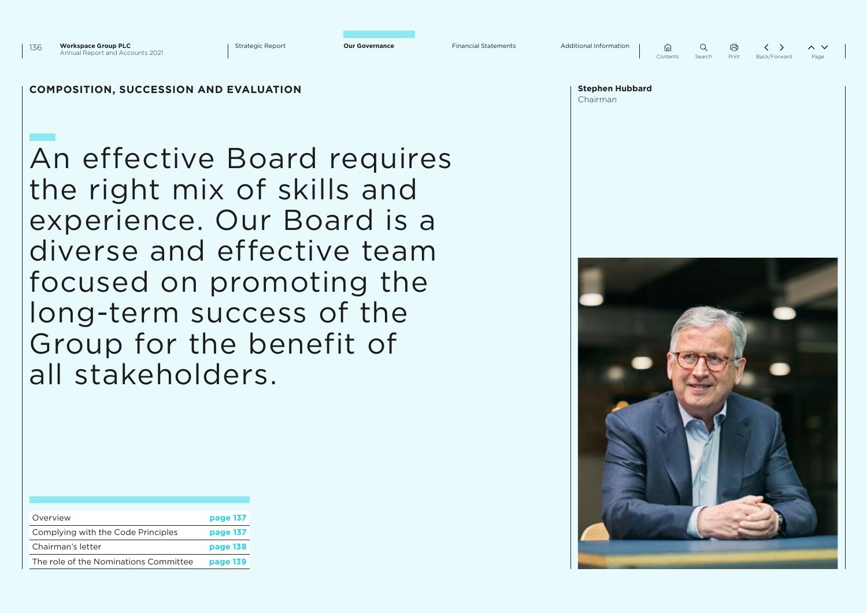

**Stephen Hubbard**

 $\left\langle \quad \right\rangle$  $\sim$   $\sim$ Contents Search Print Back/Forward

### **COMPOSITION, SUCCESSION AND EVALUATION**

An effective Board requires the right mix of skills and experience. Our Board is a diverse and effective team focused on promoting the long-term success of the Group for the benefit of all stakeholders.

| Overview                              | page 137 |
|---------------------------------------|----------|
| Complying with the Code Principles    | page 137 |
| Chairman's letter                     | page 138 |
| The role of the Nominations Committee | page 139 |

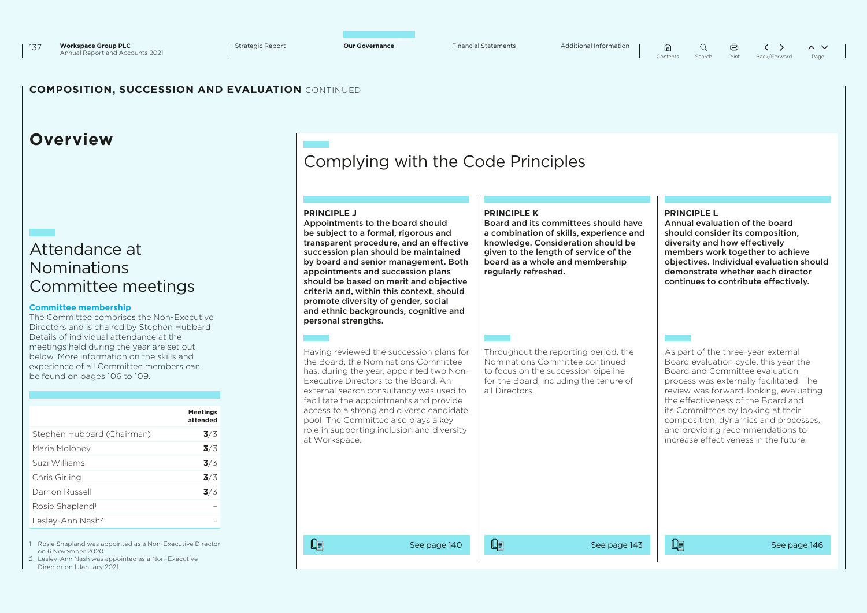量

### **COMPOSITION, SUCCESSION AND EVALUATION** CONTINUED

### **Overview**

### Attendance at Nominations Committee meetings

#### **Committee membership**

The Committee comprises the Non-Executive Directors and is chaired by Stephen Hubbard. Details of individual attendance at the meetings held during the year are set out below. More information on the skills and experience of all Committee members can be found on pages 106 to 109.

|                              | <b>Meetings</b><br>attended |
|------------------------------|-----------------------------|
| Stephen Hubbard (Chairman)   | 3/3                         |
| Maria Moloney                | 3/3                         |
| Suzi Williams                | 3/3                         |
| Chris Girling                | 3/3                         |
| Damon Russell                | 3/3                         |
| Rosie Shapland <sup>1</sup>  |                             |
| Lesley-Ann Nash <sup>2</sup> |                             |

1. Rosie Shapland was appointed as a Non-Executive Director on 6 November 2020.

2. Lesley-Ann Nash was appointed as a Non-Executive Director on 1 January 2021.

### Complying with the Code Principles

| <b>PRINCIPLE J</b><br>Appointments to the board should<br>be subject to a formal, rigorous and<br>transparent procedure, and an effective<br>succession plan should be maintained<br>by board and senior management. Both<br>appointments and succession plans<br>should be based on merit and objective<br>criteria and, within this context, should<br>promote diversity of gender, social<br>and ethnic backgrounds, cognitive and<br>personal strengths. | <b>PRINCIPLE K</b><br>Board and its committees should have<br>a combination of skills, experience and<br>knowledge. Consideration should be<br>given to the length of service of the<br>board as a whole and membership<br>regularly refreshed. | <b>PRINCIPLE L</b><br>Annual evaluation of the board<br>should consider its composition.<br>diversity and how effectively<br>members work together to achieve<br>objectives. Individual evaluation should<br>demonstrate whether each director<br>continues to contribute effectively.                                                                                                             |
|--------------------------------------------------------------------------------------------------------------------------------------------------------------------------------------------------------------------------------------------------------------------------------------------------------------------------------------------------------------------------------------------------------------------------------------------------------------|-------------------------------------------------------------------------------------------------------------------------------------------------------------------------------------------------------------------------------------------------|----------------------------------------------------------------------------------------------------------------------------------------------------------------------------------------------------------------------------------------------------------------------------------------------------------------------------------------------------------------------------------------------------|
| Having reviewed the succession plans for<br>the Board, the Nominations Committee<br>has, during the year, appointed two Non-<br>Executive Directors to the Board. An<br>external search consultancy was used to<br>facilitate the appointments and provide<br>access to a strong and diverse candidate<br>pool. The Committee also plays a key<br>role in supporting inclusion and diversity<br>at Workspace.                                                | Throughout the reporting period, the<br>Nominations Committee continued<br>to focus on the succession pipeline<br>for the Board, including the tenure of<br>all Directors.                                                                      | As part of the three-year external<br>Board evaluation cycle, this year the<br>Board and Committee evaluation<br>process was externally facilitated. The<br>review was forward-looking, evaluating<br>the effectiveness of the Board and<br>its Committees by looking at their<br>composition, dynamics and processes,<br>and providing recommendations to<br>increase effectiveness in the future |
| 咱<br>See page 140                                                                                                                                                                                                                                                                                                                                                                                                                                            | 咱<br>See page 143                                                                                                                                                                                                                               | 咱<br>See page 146                                                                                                                                                                                                                                                                                                                                                                                  |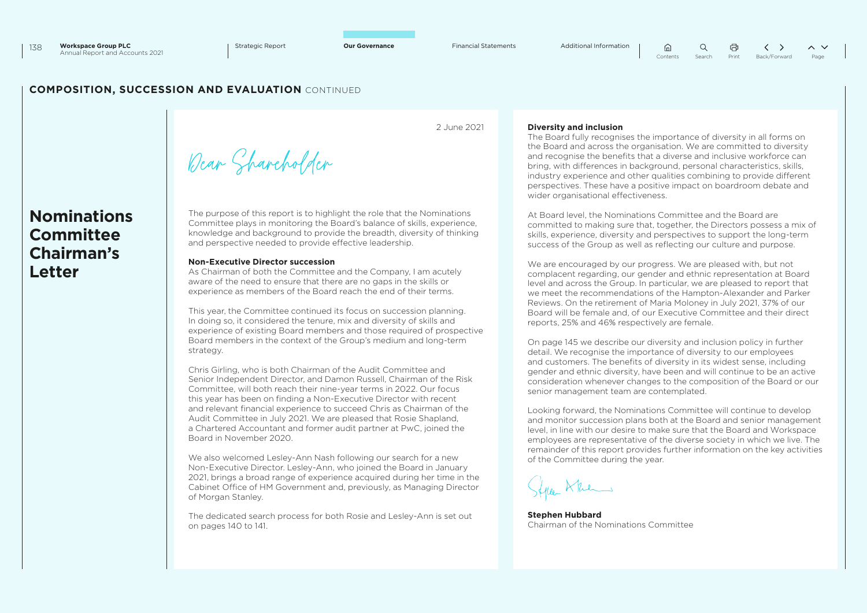### **COMPOSITION, SUCCESSION AND EVALUATION** CONTINUED

**Nominations Committee Chairman's Letter**

2 June 2021

### **Diversity and inclusion**

The Board fully recognises the importance of diversity in all forms on the Board and across the organisation. We are committed to diversity and recognise the benefits that a diverse and inclusive workforce can bring, with differences in background, personal characteristics, skills, industry experience and other qualities combining to provide different perspectives. These have a positive impact on boardroom debate and wider organisational effectiveness.

 $\hat{a}$ 

 $\Omega$ 

At Board level, the Nominations Committee and the Board are committed to making sure that, together, the Directors possess a mix of skills, experience, diversity and perspectives to support the long-term success of the Group as well as reflecting our culture and purpose.

We are encouraged by our progress. We are pleased with, but not complacent regarding, our gender and ethnic representation at Board level and across the Group. In particular, we are pleased to report that we meet the recommendations of the Hampton-Alexander and Parker Reviews. On the retirement of Maria Moloney in July 2021, 37% of our Board will be female and, of our Executive Committee and their direct reports, 25% and 46% respectively are female.

On page 145 we describe our diversity and inclusion policy in further detail. We recognise the importance of diversity to our employees and customers. The benefits of diversity in its widest sense, including gender and ethnic diversity, have been and will continue to be an active consideration whenever changes to the composition of the Board or our senior management team are contemplated.

Looking forward, the Nominations Committee will continue to develop and monitor succession plans both at the Board and senior management level, in line with our desire to make sure that the Board and Workspace employees are representative of the diverse society in which we live. The remainder of this report provides further information on the key activities of the Committee during the year.

feller Kken

**Stephen Hubbard** Chairman of the Nominations Committee

Dear Shareholder

The purpose of this report is to highlight the role that the Nominations Committee plays in monitoring the Board's balance of skills, experience, knowledge and background to provide the breadth, diversity of thinking and perspective needed to provide effective leadership.

#### **Non-Executive Director succession**

As Chairman of both the Committee and the Company, I am acutely aware of the need to ensure that there are no gaps in the skills or experience as members of the Board reach the end of their terms.

This year, the Committee continued its focus on succession planning. In doing so, it considered the tenure, mix and diversity of skills and experience of existing Board members and those required of prospective Board members in the context of the Group's medium and long-term strategy.

Chris Girling, who is both Chairman of the Audit Committee and Senior Independent Director, and Damon Russell, Chairman of the Risk Committee, will both reach their nine-year terms in 2022. Our focus this year has been on finding a Non-Executive Director with recent and relevant financial experience to succeed Chris as Chairman of the Audit Committee in July 2021. We are pleased that Rosie Shapland, a Chartered Accountant and former audit partner at PwC, joined the Board in November 2020.

We also welcomed Lesley-Ann Nash following our search for a new Non-Executive Director. Lesley-Ann, who joined the Board in January 2021, brings a broad range of experience acquired during her time in the Cabinet Office of HM Government and, previously, as Managing Director of Morgan Stanley.

The dedicated search process for both Rosie and Lesley-Ann is set out on pages 140 to 141.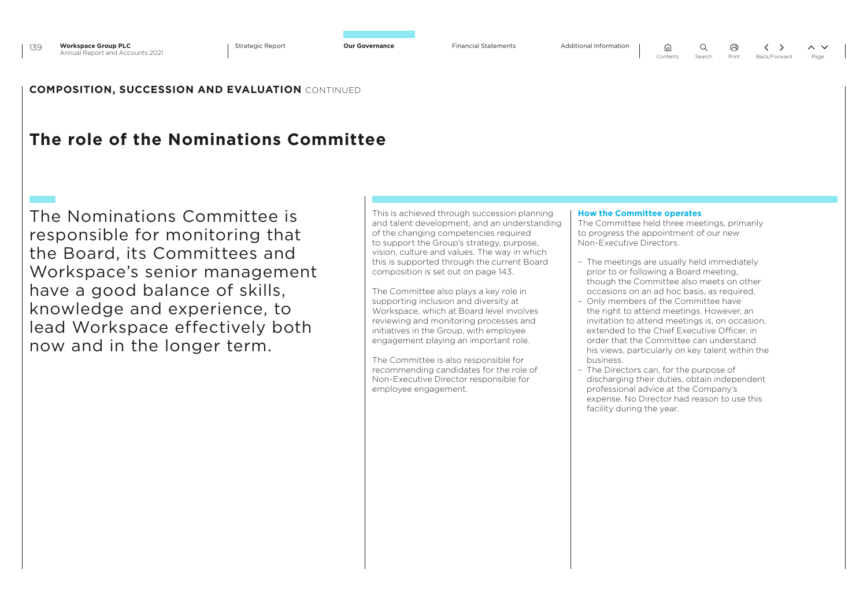### **COMPOSITION, SUCCESSION AND EVALUATION** CONTINUED

### **The role of the Nominations Committee**

The Nominations Committee is responsible for monitoring that the Board, its Committees and Workspace's senior management have a good balance of skills, knowledge and experience, to lead Workspace effectively both now and in the longer term.

This is achieved through succession planning and talent development, and an understanding of the changing competencies required to support the Group's strategy, purpose, vision, culture and values. The way in which this is supported through the current Board composition is set out on page 143.

The Committee also plays a key role in supporting inclusion and diversity at Workspace, which at Board level involves reviewing and monitoring processes and initiatives in the Group, with employee engagement playing an important role.

The Committee is also responsible for recommending candidates for the role of Non-Executive Director responsible for employee engagement.

#### **How the Committee operates**

The Committee held three meetings, primarily to progress the appointment of our new Non-Executive Directors.

- The meetings are usually held immediately prior to or following a Board meeting, though the Committee also meets on other occasions on an ad hoc basis, as required.
- Only members of the Committee have the right to attend meetings. However, an invitation to attend meetings is, on occasion, extended to the Chief Executive Officer, in order that the Committee can understand his views, particularly on key talent within the business.
- The Directors can, for the purpose of discharging their duties, obtain independent professional advice at the Company's expense. No Director had reason to use this facility during the year.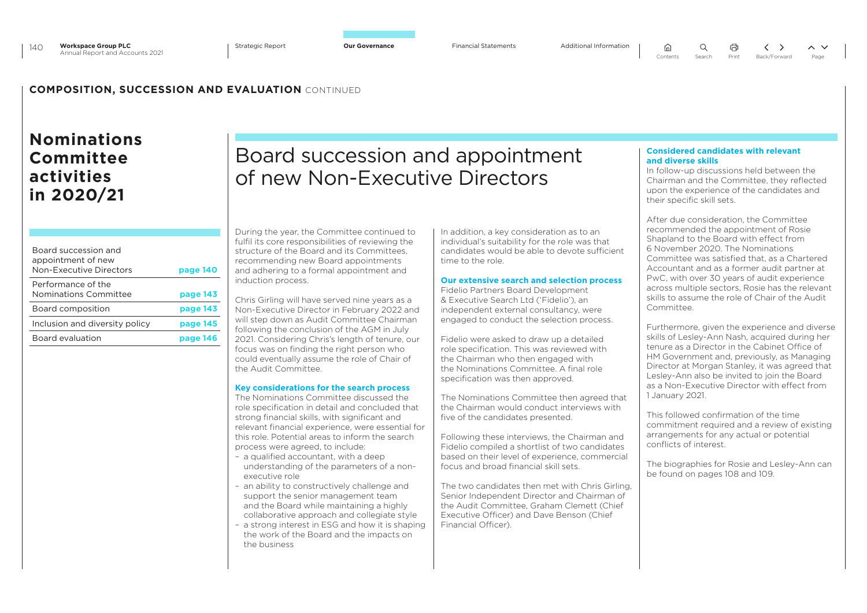$\Omega$ ⋒

 $\langle \rangle$  $\sim$   $\vee$ Contents Search Print Back/Forward Page

### **COMPOSITION, SUCCESSION AND EVALUATION** CONTINUED

### **Nominations Committee activities in 2020/21**

| Board succession and<br>appointment of new<br>Non-Executive Directors | page 140 |
|-----------------------------------------------------------------------|----------|
| Performance of the<br>Nominations Committee                           | page 143 |
| Board composition                                                     | page 143 |
| Inclusion and diversity policy                                        | page 145 |
| Board evaluation                                                      | page 146 |

Board succession and appointment of new Non-Executive Directors

During the year, the Committee continued to fulfil its core responsibilities of reviewing the structure of the Board and its Committees, recommending new Board appointments and adhering to a formal appointment and induction process.

Chris Girling will have served nine years as a Non-Executive Director in February 2022 and will step down as Audit Committee Chairman following the conclusion of the AGM in July 2021. Considering Chris's length of tenure, our focus was on finding the right person who could eventually assume the role of Chair of the Audit Committee.

### **Key considerations for the search process**

The Nominations Committee discussed the role specification in detail and concluded that strong financial skills, with significant and relevant financial experience, were essential for this role. Potential areas to inform the search process were agreed, to include:

- a qualified accountant, with a deep understanding of the parameters of a nonexecutive role
- an ability to constructively challenge and support the senior management team and the Board while maintaining a highly collaborative approach and collegiate style
- a strong interest in ESG and how it is shaping the work of the Board and the impacts on the business

In addition, a key consideration as to an individual's suitability for the role was that candidates would be able to devote sufficient time to the role.

### **Our extensive search and selection process**

Fidelio Partners Board Development & Executive Search Ltd ('Fidelio'), an independent external consultancy, were engaged to conduct the selection process.

Fidelio were asked to draw up a detailed role specification. This was reviewed with the Chairman who then engaged with the Nominations Committee. A final role specification was then approved.

The Nominations Committee then agreed that the Chairman would conduct interviews with five of the candidates presented.

Following these interviews, the Chairman and Fidelio compiled a shortlist of two candidates based on their level of experience, commercial focus and broad financial skill sets.

The two candidates then met with Chris Girling, Senior Independent Director and Chairman of the Audit Committee, Graham Clemett (Chief Executive Officer) and Dave Benson (Chief Financial Officer).

#### **Considered candidates with relevant and diverse skills**

In follow-up discussions held between the Chairman and the Committee, they reflected upon the experience of the candidates and their specific skill sets.

After due consideration, the Committee recommended the appointment of Rosie Shapland to the Board with effect from 6 November 2020. The Nominations Committee was satisfied that, as a Chartered Accountant and as a former audit partner at PwC, with over 30 years of audit experience across multiple sectors, Rosie has the relevant skills to assume the role of Chair of the Audit Committon

Furthermore, given the experience and diverse skills of Lesley-Ann Nash, acquired during her tenure as a Director in the Cabinet Office of HM Government and, previously, as Managing Director at Morgan Stanley, it was agreed that Lesley-Ann also be invited to join the Board as a Non-Executive Director with effect from 1 January 2021.

This followed confirmation of the time commitment required and a review of existing arrangements for any actual or potential conflicts of interest.

The biographies for Rosie and Lesley-Ann can be found on pages 108 and 109.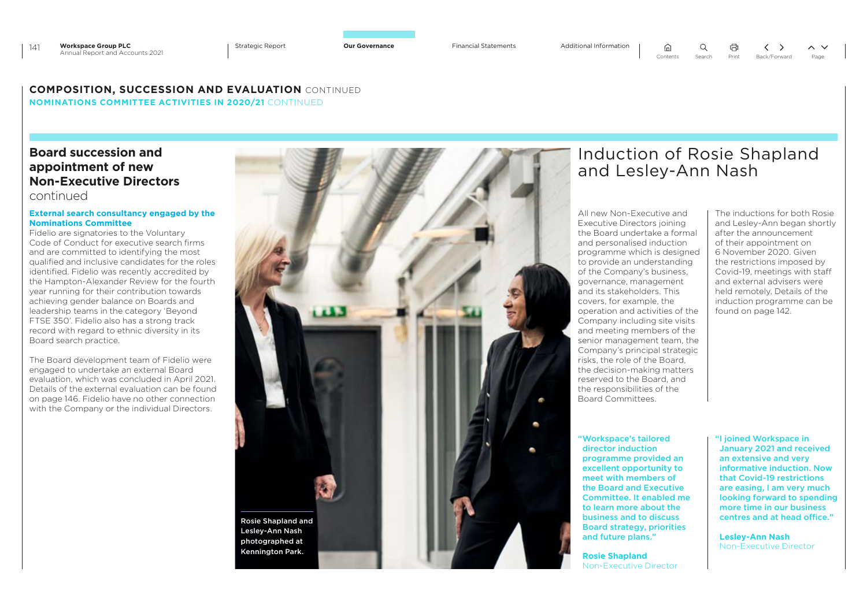$\bigcap$ 

 $\left\langle \quad \right\rangle$  $\sim$   $\sim$ Contents Search Print Back/Forward Page

### **COMPOSITION, SUCCESSION AND EVALUATION** CONTINUED **NOMINATIONS COMMITTEE ACTIVITIES IN 2020/21** CONTINUED

### **Board succession and appointment of new Non-Executive Directors**  continued

### **External search consultancy engaged by the Nominations Committee**

Fidelio are signatories to the Voluntary Code of Conduct for executive search firms and are committed to identifying the most qualified and inclusive candidates for the roles identified. Fidelio was recently accredited by the Hampton-Alexander Review for the fourth year running for their contribution towards achieving gender balance on Boards and leadership teams in the category 'Beyond FTSE 350'. Fidelio also has a strong track record with regard to ethnic diversity in its Board search practice.

The Board development team of Fidelio were engaged to undertake an external Board evaluation, which was concluded in April 2021. Details of the external evaluation can be found on page 146. Fidelio have no other connection with the Company or the individual Directors.



### Induction of Rosie Shapland and Lesley-Ann Nash

All new Non-Executive and Executive Directors joining the Board undertake a formal and personalised induction programme which is designed to provide an understanding of the Company's business, governance, management and its stakeholders. This covers, for example, the operation and activities of the Company including site visits and meeting members of the senior management team, the Company's principal strategic risks, the role of the Board, the decision-making matters reserved to the Board, and the responsibilities of the Board Committees.

"Workspace's tailored director induction programme provided an excellent opportunity to meet with members of the Board and Executive Committee. It enabled me to learn more about the business and to discuss Board strategy, priorities and future plans."

**Rosie Shapland** Non-Executive Director The inductions for both Rosie and Lesley-Ann began shortly after the announcement of their appointment on 6 November 2020. Given the restrictions imposed by Covid-19, meetings with staff and external advisers were held remotely. Details of the induction programme can be found on page 142.

"I joined Workspace in January 2021 and received an extensive and very informative induction. Now that Covid-19 restrictions are easing, I am very much looking forward to spending more time in our business centres and at head office."

**Lesley-Ann Nash** Non-Executive Director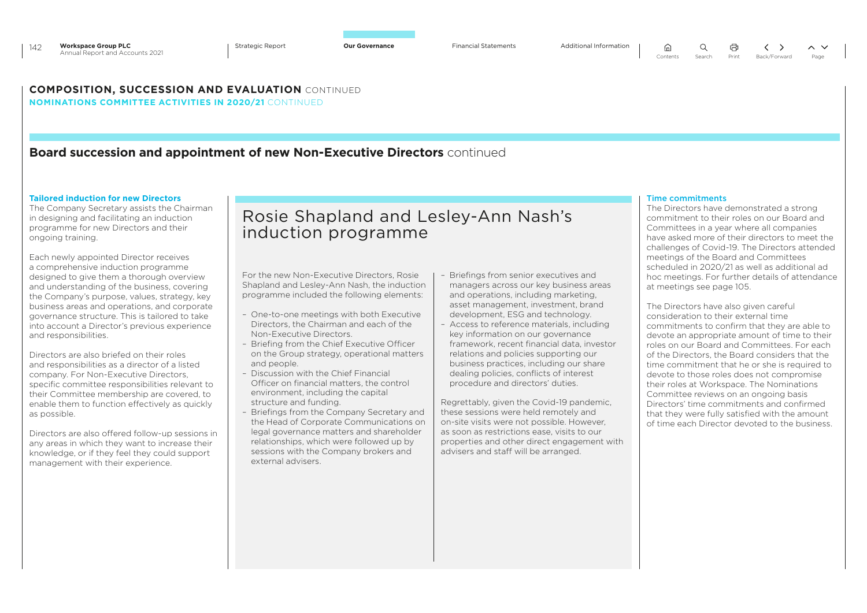### **COMPOSITION, SUCCESSION AND EVALUATION** CONTINUED **NOMINATIONS COMMITTEE ACTIVITIES IN 2020/21** CONTINUED

### **Board succession and appointment of new Non-Executive Directors** continued

#### **Tailored induction for new Directors**

The Company Secretary assists the Chairman in designing and facilitating an induction programme for new Directors and their ongoing training.

Each newly appointed Director receives a comprehensive induction programme designed to give them a thorough overview and understanding of the business, covering the Company's purpose, values, strategy, key business areas and operations, and corporate governance structure. This is tailored to take into account a Director's previous experience and responsibilities.

Directors are also briefed on their roles and responsibilities as a director of a listed company. For Non-Executive Directors, specific committee responsibilities relevant to their Committee membership are covered, to enable them to function effectively as quickly as possible.

Directors are also offered follow-up sessions in any areas in which they want to increase their knowledge, or if they feel they could support management with their experience.

### Rosie Shapland and Lesley-Ann Nash's induction programme

For the new Non-Executive Directors, Rosie Shapland and Lesley-Ann Nash, the induction programme included the following elements:

- One-to-one meetings with both Executive Directors, the Chairman and each of the Non-Executive Directors.
- Briefing from the Chief Executive Officer on the Group strategy, operational matters and people.
- Discussion with the Chief Financial Officer on financial matters, the control environment, including the capital structure and funding.
- Briefings from the Company Secretary and the Head of Corporate Communications on legal governance matters and shareholder relationships, which were followed up by sessions with the Company brokers and external advisers.
- Briefings from senior executives and managers across our key business areas and operations, including marketing, asset management, investment, brand development, ESG and technology.
- Access to reference materials, including key information on our governance framework, recent financial data, investor relations and policies supporting our business practices, including our share dealing policies, conflicts of interest procedure and directors' duties.

Regrettably, given the Covid-19 pandemic, these sessions were held remotely and on-site visits were not possible. However, as soon as restrictions ease, visits to our properties and other direct engagement with advisers and staff will be arranged.

#### Time commitments

 $\Omega$ 

The Directors have demonstrated a strong commitment to their roles on our Board and Committees in a year where all companies have asked more of their directors to meet the challenges of Covid-19. The Directors attended meetings of the Board and Committees scheduled in 2020/21 as well as additional ad hoc meetings. For further details of attendance at meetings see page 105.

The Directors have also given careful consideration to their external time commitments to confirm that they are able to devote an appropriate amount of time to their roles on our Board and Committees. For each of the Directors, the Board considers that the time commitment that he or she is required to devote to those roles does not compromise their roles at Workspace. The Nominations Committee reviews on an ongoing basis Directors' time commitments and confirmed that they were fully satisfied with the amount of time each Director devoted to the business.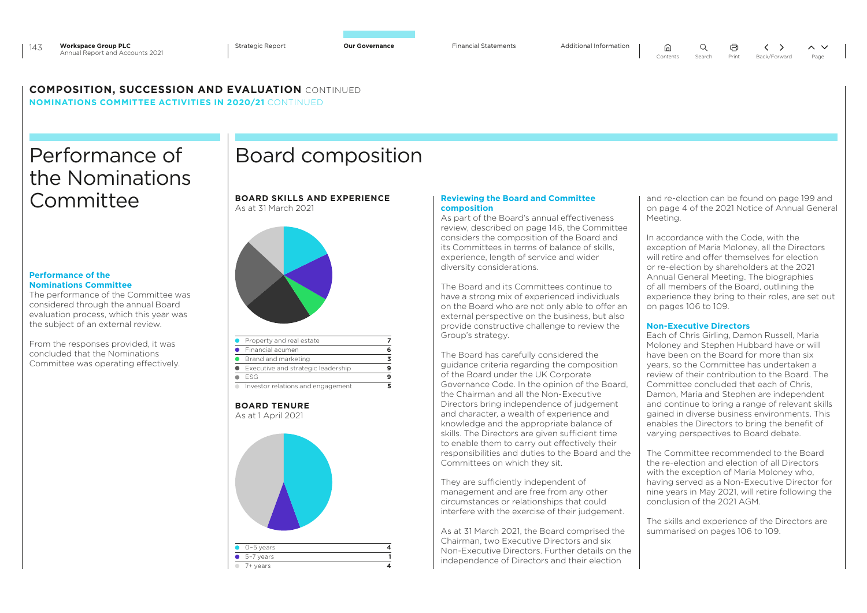### **COMPOSITION, SUCCESSION AND EVALUATION** CONTINUED

**NOMINATIONS COMMITTEE ACTIVITIES IN 2020/21** CONTINUED

## Performance of the Nominations Committee **BOARD SKILLS AND EXPERIENCE**

### **Performance of the Nominations Committee**

The performance of the Committee was considered through the annual Board evaluation process, which this year was the subject of an external review.

From the responses provided, it was concluded that the Nominations Committee was operating effectively.

### Board composition

### As at 31 March 2021



| Property and real estate           |   |
|------------------------------------|---|
| Financial acumen                   | 6 |
| Brand and marketing                | з |
| Executive and strategic leadership |   |
| FSG                                | 9 |
| Investor relations and engagement  |   |

**BOARD TENURE** As at 1 April 2021



### **Reviewing the Board and Committee composition**

As part of the Board's annual effectiveness review, described on page 146, the Committee considers the composition of the Board and its Committees in terms of balance of skills, experience, length of service and wider diversity considerations.

The Board and its Committees continue to have a strong mix of experienced individuals on the Board who are not only able to offer an external perspective on the business, but also provide constructive challenge to review the Group's strategy.

The Board has carefully considered the guidance criteria regarding the composition of the Board under the UK Corporate Governance Code. In the opinion of the Board, the Chairman and all the Non-Executive Directors bring independence of judgement and character, a wealth of experience and knowledge and the appropriate balance of skills. The Directors are given sufficient time to enable them to carry out effectively their responsibilities and duties to the Board and the Committees on which they sit.

They are sufficiently independent of management and are free from any other circumstances or relationships that could interfere with the exercise of their judgement.

As at 31 March 2021, the Board comprised the Chairman, two Executive Directors and six Non-Executive Directors. Further details on the independence of Directors and their election

and re-election can be found on page 199 and on page 4 of the 2021 Notice of Annual General Meeting.

In accordance with the Code, with the exception of Maria Moloney, all the Directors will retire and offer themselves for election or re-election by shareholders at the 2021 Annual General Meeting. The biographies of all members of the Board, outlining the experience they bring to their roles, are set out on pages 106 to 109.

### **Non-Executive Directors**

Each of Chris Girling, Damon Russell, Maria Moloney and Stephen Hubbard have or will have been on the Board for more than six years, so the Committee has undertaken a review of their contribution to the Board. The Committee concluded that each of Chris, Damon, Maria and Stephen are independent and continue to bring a range of relevant skills gained in diverse business environments. This enables the Directors to bring the benefit of varying perspectives to Board debate.

The Committee recommended to the Board the re-election and election of all Directors with the exception of Maria Moloney who, having served as a Non-Executive Director for nine years in May 2021, will retire following the conclusion of the 2021 AGM.

The skills and experience of the Directors are summarised on pages 106 to 109.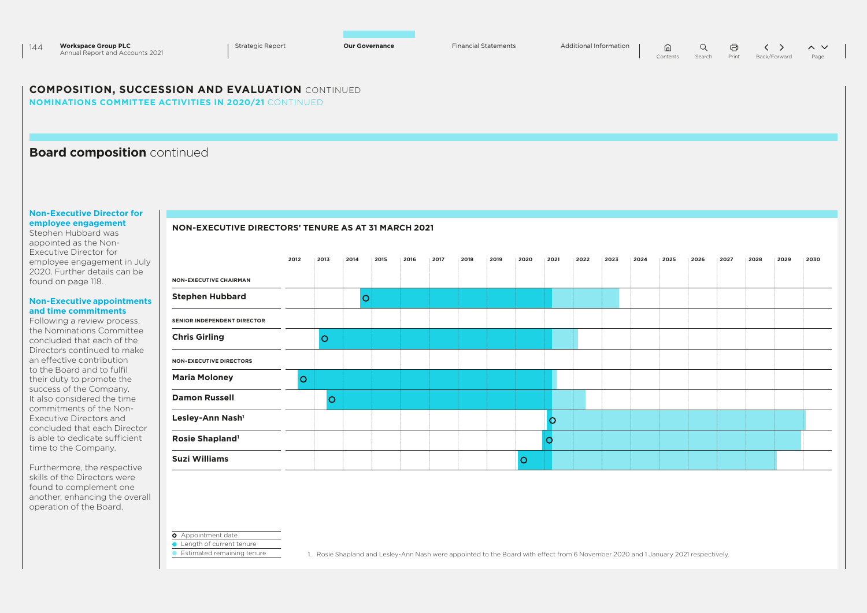| 144 | <b>Workspace Group PLC</b>      | <b>Strategic Report</b> | <b>Our Governance</b> | <b>Financial Statements</b> |  |  |                                    | $\sim$ $\vee$ |
|-----|---------------------------------|-------------------------|-----------------------|-----------------------------|--|--|------------------------------------|---------------|
|     | Annual Report and Accounts 2021 |                         |                       |                             |  |  | Contents Search Print Back/Forward | Page          |

### **COMPOSITION, SUCCESSION AND EVALUATION** CONTINUED

**NON-EXECUTIVE DIRECTORS' TENURE AS AT 31 MARCH 2021**

**NOMINATIONS COMMITTEE ACTIVITIES IN 2020/21** CONTINUED

### **Board composition** continued

#### **Non-Executive Director for employee engagement**

Stephen Hubbard was appointed as the Non-Executive Director for employee engagement in July 2020. Further details can be found on page 118.

#### **Non-Executive appointments and time commitments**

Following a review process, the Nominations Committee concluded that each of the Directors continued to make an effective contribution to the Board and to fulfil their duty to promote the success of the Company. It also considered the time commitments of the Non-Executive Directors and concluded that each Director is able to dedicate sufficient time to the Company.

Furthermore, the respective skills of the Directors were found to complement one another, enhancing the overall operation of the Board.

|                                | 2012     | 2013    | 2014 | 2015 | 2016 | 2017 | 2018 | 2019 | 2020    | 2021    | 2022 | 2023 | 2024 | 2025 | 2026 | 2027 | 2028 | 2029 | 2030 |
|--------------------------------|----------|---------|------|------|------|------|------|------|---------|---------|------|------|------|------|------|------|------|------|------|
| <b>NON-EXECUTIVE CHAIRMAN</b>  |          |         |      |      |      |      |      |      |         |         |      |      |      |      |      |      |      |      |      |
| <b>Stephen Hubbard</b>         |          |         | O    |      |      |      |      |      |         |         |      |      |      |      |      |      |      |      |      |
| SENIOR INDEPENDENT DIRECTOR    |          |         |      |      |      |      |      |      |         |         |      |      |      |      |      |      |      |      |      |
| <b>Chris Girling</b>           |          | $\circ$ |      |      |      |      |      |      |         |         |      |      |      |      |      |      |      |      |      |
| <b>NON-EXECUTIVE DIRECTORS</b> |          |         |      |      |      |      |      |      |         |         |      |      |      |      |      |      |      |      |      |
| <b>Maria Moloney</b>           | $\Omega$ |         |      |      |      |      |      |      |         |         |      |      |      |      |      |      |      |      |      |
| <b>Damon Russell</b>           |          | $\circ$ |      |      |      |      |      |      |         |         |      |      |      |      |      |      |      |      |      |
| Lesley-Ann Nash <sup>1</sup>   |          |         |      |      |      |      |      |      |         | $\circ$ |      |      |      |      |      |      |      |      |      |
| Rosie Shapland <sup>1</sup>    |          |         |      |      |      |      |      |      |         |         |      |      |      |      |      |      |      |      |      |
| <b>Suzi Williams</b>           |          |         |      |      |      |      |      |      | $\circ$ |         |      |      |      |      |      |      |      |      |      |

**O** Appointment date

**Length of current tenure** 

**Estimated remaining tenure** 

1. Rosie Shapland and Lesley-Ann Nash were appointed to the Board with effect from 6 November 2020 and 1 January 2021 respectively.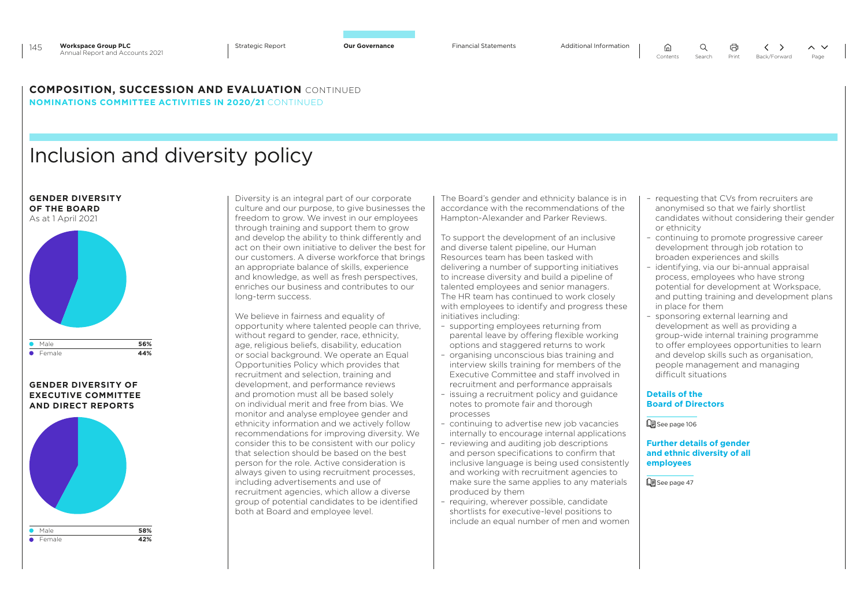```
\Omega⋒
```
### **COMPOSITION, SUCCESSION AND EVALUATION** CONTINUED

**NOMINATIONS COMMITTEE ACTIVITIES IN 2020/21** CONTINUED

# Inclusion and diversity policy

**GENDER DIVERSITY OF THE BOARD** As at 1 April 2021



### **GENDER DIVERSITY OF EXECUTIVE COMMITTEE AND DIRECT REPORTS**



Diversity is an integral part of our corporate culture and our purpose, to give businesses the freedom to grow. We invest in our employees through training and support them to grow and develop the ability to think differently and act on their own initiative to deliver the best for our customers. A diverse workforce that brings an appropriate balance of skills, experience and knowledge, as well as fresh perspectives, enriches our business and contributes to our long-term success.

We believe in fairness and equality of opportunity where talented people can thrive, without regard to gender, race, ethnicity, age, religious beliefs, disability, education or social background. We operate an Equal Opportunities Policy which provides that recruitment and selection, training and development, and performance reviews and promotion must all be based solely on individual merit and free from bias. We monitor and analyse employee gender and ethnicity information and we actively follow recommendations for improving diversity. We consider this to be consistent with our policy that selection should be based on the best person for the role. Active consideration is always given to using recruitment processes, including advertisements and use of recruitment agencies, which allow a diverse group of potential candidates to be identified both at Board and employee level.

The Board's gender and ethnicity balance is in accordance with the recommendations of the Hampton-Alexander and Parker Reviews.

To support the development of an inclusive and diverse talent pipeline, our Human Resources team has been tasked with delivering a number of supporting initiatives to increase diversity and build a pipeline of talented employees and senior managers. The HR team has continued to work closely with employees to identify and progress these initiatives including:

- supporting employees returning from parental leave by offering flexible working options and staggered returns to work
- organising unconscious bias training and interview skills training for members of the Executive Committee and staff involved in recruitment and performance appraisals
- issuing a recruitment policy and guidance notes to promote fair and thorough processes
- continuing to advertise new job vacancies internally to encourage internal applications
- reviewing and auditing job descriptions and person specifications to confirm that inclusive language is being used consistently and working with recruitment agencies to make sure the same applies to any materials produced by them
- requiring, wherever possible, candidate shortlists for executive-level positions to include an equal number of men and women

– requesting that CVs from recruiters are anonymised so that we fairly shortlist candidates without considering their gender or ethnicity

量

- continuing to promote progressive career development through job rotation to broaden experiences and skills
- identifying, via our bi-annual appraisal process, employees who have strong potential for development at Workspace, and putting training and development plans in place for them
- sponsoring external learning and development as well as providing a group-wide internal training programme to offer employees opportunities to learn and develop skills such as organisation, people management and managing difficult situations

### **Details of the Board of Directors**

See page 106

**Further details of gender and ethnic diversity of all employees**

**Q**See page 47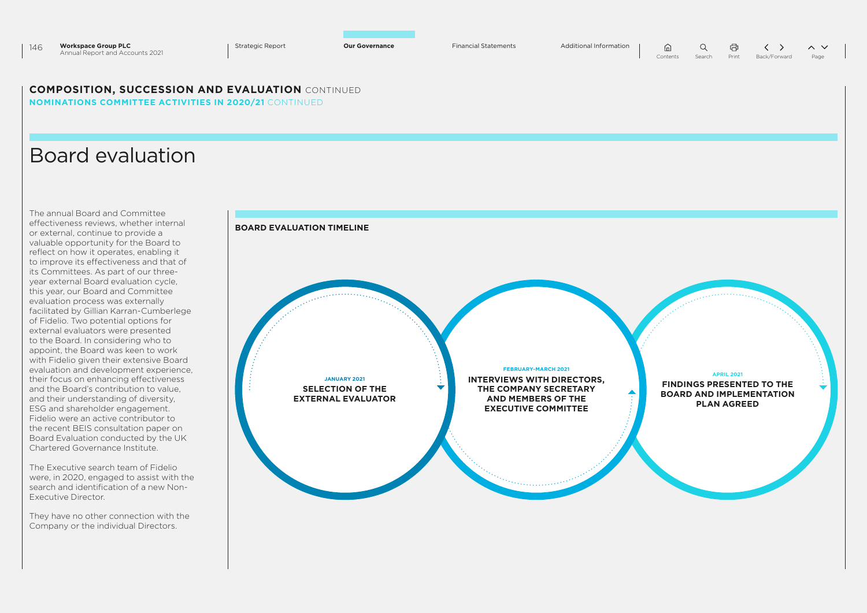| 146 | <b>Workspace Group PLC</b>      | <b>Strategic Report</b> | <b>Our Governance</b> | <b>Financial Statements</b> |  |  |                                         |  |
|-----|---------------------------------|-------------------------|-----------------------|-----------------------------|--|--|-----------------------------------------|--|
|     | Annual Report and Accounts 2021 |                         |                       |                             |  |  | Contents Search Print Back/Forward Page |  |
|     |                                 |                         |                       |                             |  |  |                                         |  |
|     |                                 |                         |                       |                             |  |  |                                         |  |

### **COMPOSITION, SUCCESSION AND EVALUATION** CONTINUED **NOMINATIONS COMMITTEE ACTIVITIES IN 2020/21** CONTINUED

### Board evaluation

The annual Board and Committee effectiveness reviews, whether internal or external, continue to provide a valuable opportunity for the Board to reflect on how it operates, enabling it to improve its effectiveness and that of its Committees. As part of our threeyear external Board evaluation cycle, this year, our Board and Committee evaluation process was externally facilitated by Gillian Karran-Cumberlege of Fidelio. Two potential options for external evaluators were presented to the Board. In considering who to appoint, the Board was keen to work with Fidelio given their extensive Board evaluation and development experience, their focus on enhancing effectiveness and the Board's contribution to value, and their understanding of diversity, ESG and shareholder engagement. Fidelio were an active contributor to the recent BEIS consultation paper on Board Evaluation conducted by the UK Chartered Governance Institute.

The Executive search team of Fidelio were, in 2020, engaged to assist with the search and identification of a new Non-Executive Director.

They have no other connection with the Company or the individual Directors.

### **BOARD EVALUATION TIMELINE**

**JANUARY 2021 SELECTION OF THE EXTERNAL EVALUATOR** **FEBRUARY-MARCH 2021**

**INTERVIEWS WITH DIRECTORS, THE COMPANY SECRETARY AND MEMBERS OF THE EXECUTIVE COMMITTEE**

**APRIL 2021**

**FINDINGS PRESENTED TO THE BOARD AND IMPLEMENTATION PLAN AGREED**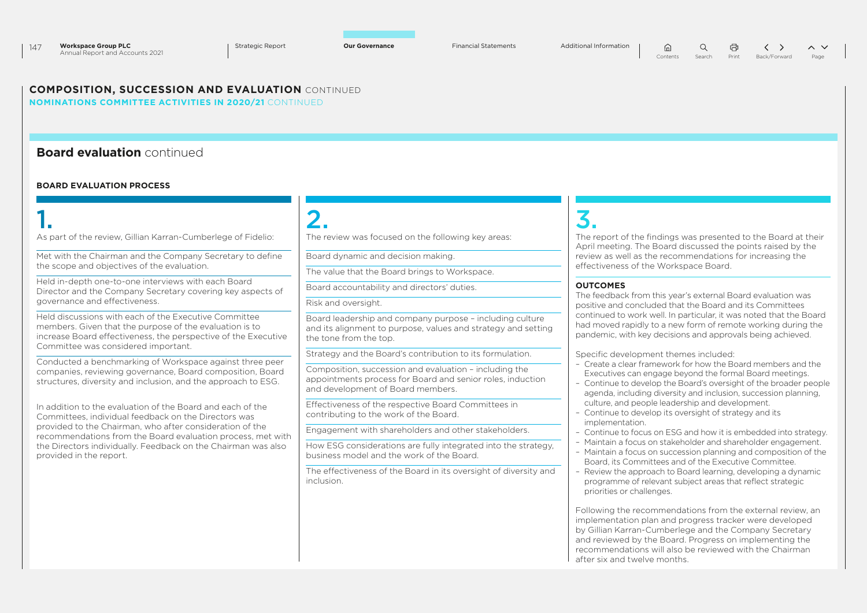### **COMPOSITION, SUCCESSION AND EVALUATION** CONTINUED **NOMINATIONS COMMITTEE ACTIVITIES IN 2020/21** CONTINUED

### **Board evaluation** continued

### **BOARD EVALUATION PROCESS**

# 1.  $2.$   $3.$

As part of the review, Gillian Karran-Cumberlege of Fidelio:

Met with the Chairman and the Company Secretary to define the scope and objectives of the evaluation.

Held in-depth one-to-one interviews with each Board Director and the Company Secretary covering key aspects of governance and effectiveness.

Held discussions with each of the Executive Committee members. Given that the purpose of the evaluation is to increase Board effectiveness, the perspective of the Executive Committee was considered important.

Conducted a benchmarking of Workspace against three peer companies, reviewing governance, Board composition, Board structures, diversity and inclusion, and the approach to ESG.

In addition to the evaluation of the Board and each of the Committees, individual feedback on the Directors was provided to the Chairman, who after consideration of the recommendations from the Board evaluation process, met with the Directors individually. Feedback on the Chairman was also provided in the report.

The review was focused on the following key areas:

Board dynamic and decision making.

The value that the Board brings to Workspace.

Board accountability and directors' duties.

Risk and oversight.

Board leadership and company purpose – including culture and its alignment to purpose, values and strategy and setting the tone from the top.

Strategy and the Board's contribution to its formulation.

Composition, succession and evaluation – including the appointments process for Board and senior roles, induction and development of Board members.

Effectiveness of the respective Board Committees in contributing to the work of the Board.

Engagement with shareholders and other stakeholders.

How ESG considerations are fully integrated into the strategy, business model and the work of the Board.

The effectiveness of the Board in its oversight of diversity and inclusion.

The report of the findings was presented to the Board at their April meeting. The Board discussed the points raised by the review as well as the recommendations for increasing the effectiveness of the Workspace Board.

### **OUTCOMES**

The feedback from this year's external Board evaluation was positive and concluded that the Board and its Committees continued to work well. In particular, it was noted that the Board had moved rapidly to a new form of remote working during the pandemic, with key decisions and approvals being achieved.

Specific development themes included:

- Create a clear framework for how the Board members and the Executives can engage beyond the formal Board meetings.
- Continue to develop the Board's oversight of the broader people agenda, including diversity and inclusion, succession planning, culture, and people leadership and development.
- Continue to develop its oversight of strategy and its implementation.
- Continue to focus on ESG and how it is embedded into strategy.
- Maintain a focus on stakeholder and shareholder engagement.
- Maintain a focus on succession planning and composition of the Board, its Committees and of the Executive Committee.
- Review the approach to Board learning, developing a dynamic programme of relevant subject areas that reflect strategic priorities or challenges.

Following the recommendations from the external review, an implementation plan and progress tracker were developed by Gillian Karran-Cumberlege and the Company Secretary and reviewed by the Board. Progress on implementing the recommendations will also be reviewed with the Chairman after six and twelve months.